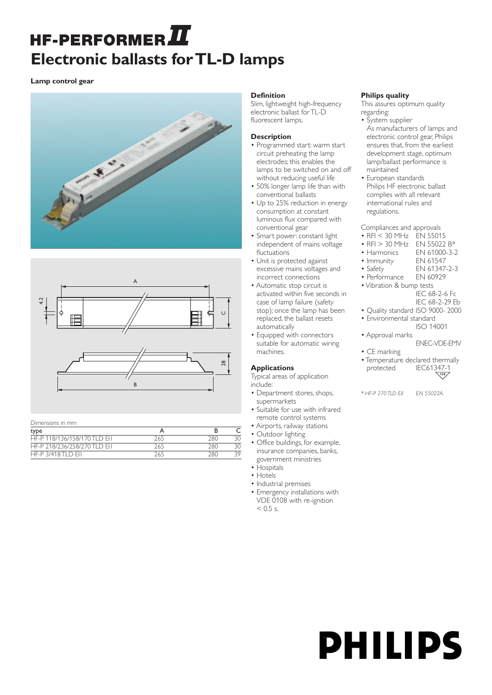# HF-PERFORMER $\boldsymbol{\varPi}$ **Electronic ballasts for TL-D lamps**

**Lamp control gear**





*Dimensions in mm*

| type                         |     |     |     |
|------------------------------|-----|-----|-----|
| HF-P 118/136/158/170 TLD FIL | 265 | 280 |     |
| HE-P 218/236/258/270 TLD FIL | 265 | 280 |     |
| HF-P 3/418 TLD FIL           | 265 | 280 | 29. |

# **Definition**

Slim, lightweight high-frequency electronic ballast for TL-D fluorescent lamps.

## **Description**

- Programmed start: warm start circuit preheating the lamp electrodes; this enables the lamps to be switched on and off without reducing useful life
- 50% longer lamp life than with conventional ballasts
- Up to 25% reduction in energy consumption at constant luminous flux compared with conventional gear
- Smart power: constant light independent of mains voltage fluctuations
- Unit is protected against excessive mains voltages and incorrect connections
- Automatic stop circuit is activated within five seconds in case of lamp failure (safety stop); once the lamp has been replaced, the ballast resets automatically
- Equipped with connectors suitable for automatic wiring machines.

# **Applications**

Typical areas of application include:

- Department stores, shops, supermarkets
- Suitable for use with infrared remote control systems
- Airports, railway stations
- Outdoor lighting
- Office buildings, for example, insurance companies, banks, government ministries
- Hospitals
- Hotels
- Industrial premises
- Emergency installations with VDE 0108 with re-ignition  $< 0.5$  s.

# **Philips quality**

This assures optimum quality regarding:

- System supplier As manufacturers of lamps and electronic control gear, Philips ensures that, from the earliest development stage, optimum lamp/ballast performance is maintained
- European standards Philips HF electronic ballast complies with all relevant international rules and regulations.

Compliances and approvals

- RFI < 30 MHz EN 55015
- RFI > 30 MHz EN 55022 B\*<br>• Harmonics EN 61000-3-2
- EN 61000-3-2
- Immunity EN 61547<br>• Safety EN 61347
- EN 61347-2-3
- Performance EN 60929
- Vibration & bump tests
	- IEC 68-2-6 Fc
	- IEC 68-2-29 Eb
- Quality standard ISO 9000- 2000 • Environmental standard
	- ISO 14001
- Approval marks ENEC-VDE-EMV
- CE marking
- Temperature declared thermally<br>protected IEC61347-1 protected IEC61347-1 **110**

*\* HF-P 270 TLD EII EN 55022A.*

**PHILIPS**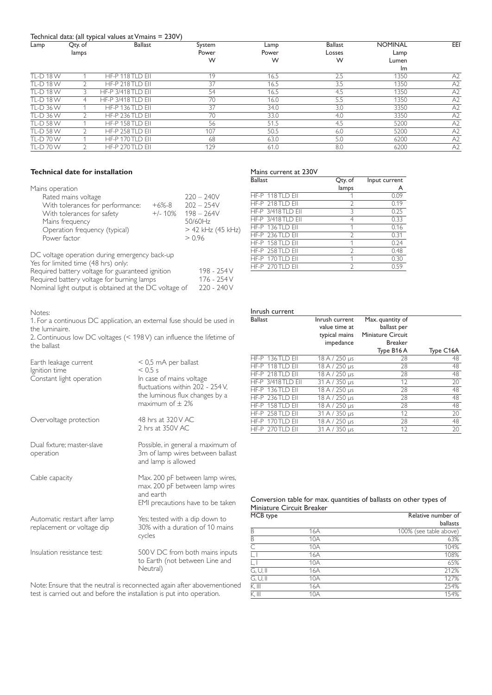## Technical data: (all typical values at Vmains = 230V)

| Lamp             | Qty. of | <b>Ballast</b>            | System | Lamp  | <b>Ballast</b> | <b>NOMINAL</b> | EEI            |
|------------------|---------|---------------------------|--------|-------|----------------|----------------|----------------|
|                  | lamps   |                           | Power  | Power | Losses         | Lamp           |                |
|                  |         |                           | W      | W     | W              | Lumen          |                |
|                  |         |                           |        |       |                | Im             |                |
| <b>TL-D18W</b>   |         | HF-P 118 TLD EII          | 19     | 16.5  | 2.5            | 1350           | A <sub>2</sub> |
| <b>TL-D18W</b>   |         | HF-P 218 TLD EII          | 37     | 16.5  | 3.5            | 1350           | A2             |
| <b>TL-D 18 W</b> |         | <b>HF-P 3/418 TLD EII</b> | 54     | 16.5  | 4.5            | 1350           | A2             |
| TI-D 18 W        |         | <b>HF-P 3/418 TLD EII</b> | 70     | 16.0  | 5.5            | 1350           | A2             |
| TL-D 36 W        |         | HF-P 136 TLD EII          | 37     | 34.0  | 3.0            | 3350           | A2             |
| <b>TL-D 36 W</b> |         | HF-P 236 TLD EII          | 70     | 33.0  | 4.0            | 3350           | A <sub>2</sub> |
| <b>TL-D 58 W</b> |         | HF-P 158 TLD EII          | 56     | 51.5  | 4.5            | 5200           | A2             |
| TI-D 58 W        |         | HF-P 258 TLD EII          | 107    | 50.5  | 6.0            | 5200           | A2             |
| TI-D70W          |         | HF-P 170 TLD FIL          | 68     | 63.0  | 5.0            | 6200           | A2             |
| <b>TL-D70W</b>   |         | HF-P 270 TLD EII          | 129    | 61.0  | 8.0            | 6200           | A2             |
|                  |         |                           |        |       |                |                |                |

# **Technical date for installation**

| Mains operation                                                                                                                                           |                       |                                                                                          |
|-----------------------------------------------------------------------------------------------------------------------------------------------------------|-----------------------|------------------------------------------------------------------------------------------|
| Rated mains voltage<br>With tolerances for performance:<br>With tolerances for safety<br>Mains frequency<br>Operation frequency (typical)<br>Power factor | $+6% -8$<br>$+/- 10%$ | $220 - 240V$<br>$202 - 254V$<br>$198 - 264V$<br>50/60Hz<br>$> 42$ kHz (45 kHz)<br>> 0.96 |
|                                                                                                                                                           |                       |                                                                                          |

DC voltage operation during emergency back-up

| Required battery voltage for guaranteed ignition      | 198 - 254 V |
|-------------------------------------------------------|-------------|
| Required battery voltage for burning lamps            | 176 - 254 V |
| Nominal light output is obtained at the DC voltage of | 220 - 240 V |

## Notes:

1. For a continuous DC application, an external fuse should be used in the luminaire.

2. Continuous low DC voltages (< 198 V) can influence the lifetime of the ballast

| Earth leakage current<br>Ignition time<br>Constant light operation | $<$ 0,5 mA per ballast<br>$< 0.5$ s<br>In case of mains voltage<br>fluctuations within 202 - 254 V.<br>the luminous flux changes by a<br>maximum of $\pm$ 2% |
|--------------------------------------------------------------------|--------------------------------------------------------------------------------------------------------------------------------------------------------------|
| Overvoltage protection                                             | 48 hrs at 320 V AC<br>2 hrs at 350V AC                                                                                                                       |
| Dual fixture; master-slave<br>operation                            | Possible, in general a maximum of<br>3m of lamp wires between ballast<br>and lamp is allowed                                                                 |
| Cable capacity                                                     | Max. 200 pF between lamp wires,<br>max. 200 pF between lamp wires<br>and earth<br>EMI precautions have to be taken                                           |
| Automatic restart after lamp<br>replacement or voltage dip         | Yes; tested with a dip down to<br>30% with a duration of 10 mains<br>cycles                                                                                  |
| Insulation resistance test:                                        | 500 V DC from both mains inputs<br>to Earth (not between Line and<br>Neutral)                                                                                |

Note: Ensure that the neutral is reconnected again after abovementioned test is carried out and before the installation is put into operation.

# Mains current at 230V

| <b>Ballast</b> |                           | Qty. of       | Input current |
|----------------|---------------------------|---------------|---------------|
|                |                           | lamps         | A             |
|                | HF-P 118 TLD EII          |               | 0.09          |
|                | HF-P 218 TLD EII          | 2             | 0.19          |
|                | <b>HF-P 3/418 TLD EII</b> | 3             | 0.25          |
|                | <b>HF-P 3/418 TLD EII</b> | 4             | 0.33          |
|                | HF-P 136 TLD EII          | 1             | 0.16          |
|                | HF-P 236 TLD EII          | $\mathcal{P}$ | 0.31          |
|                | HF-P $158$ TI D FII       | 1             | 0.24          |
|                | HF-P 258 TLD EII          | $\mathcal{P}$ | 0.48          |
|                | HF-P 170 TLD EII          | 1             | 0.30          |
|                | HF-P $270$ TI D FII       | $\mathcal{D}$ | 0.59          |

#### Inrush current

| <b>Ballast</b> |                          | Inrush current<br>value time at<br>typical mains<br>impedance | Max. quantity of<br>ballast per<br><b>Miniature Circuit</b><br><b>Breaker</b> |           |
|----------------|--------------------------|---------------------------------------------------------------|-------------------------------------------------------------------------------|-----------|
|                |                          |                                                               | Type B16A                                                                     | Type C16A |
|                | HF-P 136TLD EII          | $18 A / 250 \,\mu s$                                          | 28                                                                            | 48        |
|                | HF-P 118 TLD EII         | 18 A / 250 µs                                                 | 28                                                                            | 48        |
|                | HF-P 218TLD EII          | 18 A / 250 µs                                                 | 28                                                                            | 48        |
|                | <b>HF-P 3/418TLD EII</b> | 31 A / 350 µs                                                 | 12                                                                            | 20        |
|                | HF-P 136TLD EII          | 18 A / 250 µs                                                 | 28                                                                            | 48        |
|                | HF-P 236TLD EII          | 18 A / 250 µs                                                 | 28                                                                            | 48        |
|                | HF-P 158TLD EII          | 18 A / 250 µs                                                 | 28                                                                            | 48        |
|                | HF-P 258 TLD EII         | 31 A / 350 µs                                                 | 12                                                                            | 20        |
|                | HF-P 170TLD EII          | 18 A / 250 µs                                                 | 28                                                                            | 48        |
|                | HF-P 270TLD EII          | 31 A / 350 us                                                 | 12                                                                            | 20        |

| Conversion table for max. quantities of ballasts on other types of |  |  |  |
|--------------------------------------------------------------------|--|--|--|
| Miniature Circuit Breaker                                          |  |  |  |

| MCB type   |     | Relative number of     |
|------------|-----|------------------------|
|            |     | ballasts               |
| B          | 16A | 100% (see table above) |
| B          | 10A | 63%                    |
| C          | 10A | 104%                   |
|            | 16A | 108%                   |
| L, I       | 10A | 65%                    |
| $G, U,$ II | 16A | 212%                   |
| G, U, II   | 10A | 127%                   |
| K, III     | 16A | 254%                   |
| K, III     | 10A | 154%                   |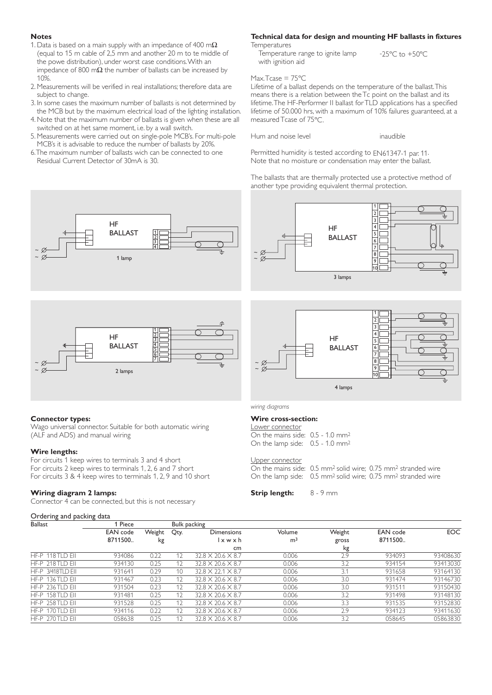## **Notes**

~ ~

- 1. Data is based on a main supply with an impedance of 400 m $\Omega$ (equal to 15 m cable of 2,5 mm and another 20 m to te middle of the powe distribution), under worst case conditions.With an impedance of 800 m $\Omega$  the number of ballasts can be increased by 10%.
- 2. Measurements will be verified in real installations; therefore data are subject to change.
- 3. In some cases the maximum number of ballasts is not determined by the MCB but by the maximum electrical load of the lighting installation.
- 4. Note that the maximum number of ballasts is given when these are all switched on at het same moment, i.e. by a wall switch.
- 5. Measurements were carried out on single-pole MCB's. For multi-pole MCB's it is advisable to reduce the number of ballasts by 20%.

6.The maximum number of ballasts wich can be connected to one Residual Current Detector of 30mA is 30.

> HF BALLAST

> > 1 lamp



**Temperatures** Temperature range to ignite lamp -25°C to +50°C with ignition aid

Max.Tcase = 75ºC

Lifetime of a ballast depends on the temperature of the ballast.This means there is a relation between the Tc point on the ballast and its lifetime.The HF-Performer II ballast for TLD applications has a specified lifetime of 50.000 hrs, with a maximum of 10% failures guaranteed, at a measured Tcase of 75ºC.

Hum and noise level **inaudible** 

Permitted humidity is tested according to EN61347-1 par. 11. Note that no moisture or condensation may enter the ballast.

The ballasts that are thermally protected use a protective method of another type providing equivalent thermal protection.





#### **Connector types:**

Wago universal connector. Suitable for both automatic wiring (ALF and ADS) and manual wiring

## **Wire lengths:**

For circuits 1 keep wires to terminals 3 and 4 short For circuits 2 keep wires to terminals 1, 2, 6 and 7 short For circuits 3 & 4 keep wires to terminals 1, 2, 9 and 10 short

## **Wiring diagram 2 lamps:**

Connector 4 can be connected, but this is not necessary

#### Ordering and packing data

2 3 4 5 6 17 HF BALLAST 4 lamps 8 9 10 ~ ~

1

#### *wiring diagrams*

## **Wire cross-section:**

| Lower connector                                |  |
|------------------------------------------------|--|
| On the mains side: $0.5 - 1.0$ mm <sup>2</sup> |  |
| On the lamp side: $0.5 - 1.0$ mm <sup>2</sup>  |  |

#### Upper connector

On the mains side: 0.5 mm2 solid wire; 0.75 mm2 stranded wire On the lamp side: 0.5 mm2 solid wire; 0.75 mm2 stranded wire

**Strip length:** 8 - 9 mm

| <b>Ballast</b>      | 1 Piece  |        |      | <b>Bulk packing</b>           |                |        |          |          |
|---------------------|----------|--------|------|-------------------------------|----------------|--------|----------|----------|
|                     | EAN code | Weight | Qty. | <b>Dimensions</b>             | Volume         | Weight | EAN code | EOC.     |
|                     | 8711500  | kg     |      | l x w x h                     | m <sup>3</sup> | gross  | 8711500  |          |
|                     |          |        |      | cm                            |                | kg     |          |          |
| HF-P 118 TLD EII    | 934086   | 0.22   | 12   | $32.8 \times 20.6 \times 8.7$ | 0.006          | 2.9    | 934093   | 93408630 |
| HF-P $218$ TI D FII | 934130   | 0.25   | 12   | $32.8 \times 20.6 \times 8.7$ | 0.006          | 3.2    | 934154   | 93413030 |
| HF-P 3/418TID FII   | 931641   | 0.29   | 10   | $32.8 \times 22.1 \times 8.7$ | 0.006          | 3.1    | 931658   | 93164130 |
| HF-P $136TID$ FII   | 931467   | 0.23   | 12   | $32.8 \times 20.6 \times 8.7$ | 0.006          | 3.0    | 931474   | 93146730 |
| HF-P 236 TLD EII    | 931504   | 0.23   | 12   | $32.8 \times 20.6 \times 8.7$ | 0.006          | 3.0    | 931511   | 93150430 |
| HF-P 158 TLD EII    | 931481   | 0.25   | 12   | $32.8 \times 20.6 \times 8.7$ | 0.006          | 3.2    | 931498   | 93148130 |
| HF-P $258$ TID FII  | 931528   | 0.25   | 12   | $32.8 \times 20.6 \times 8.7$ | 0.006          | 3.3    | 931535   | 93152830 |
| HF-P $170$ TI D FII | 934116   | 0.22   | 12   | $32.8 \times 20.6 \times 8.7$ | 0.006          | 2.9    | 934123   | 93411630 |
| HF-P $270$ TI D FII | 058638   | 0.25   | 12   | $32.8 \times 20.6 \times 8.7$ | 0.006          | 3.2    | 058645   | 05863830 |